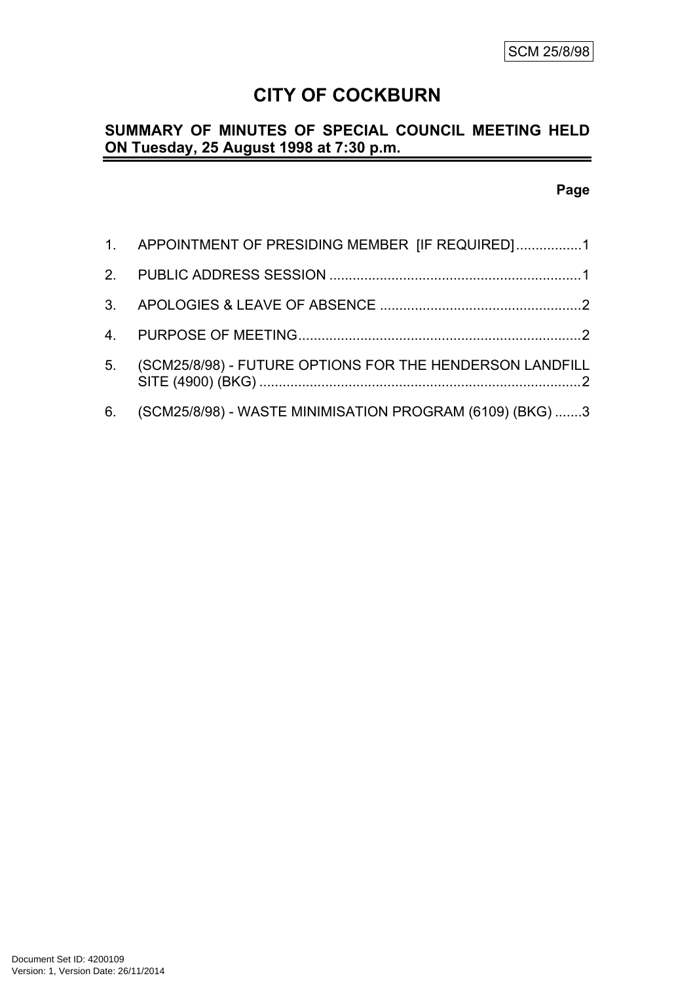# **CITY OF COCKBURN**

## **SUMMARY OF MINUTES OF SPECIAL COUNCIL MEETING HELD ON Tuesday, 25 August 1998 at 7:30 p.m.**

## **Page**

| 1. APPOINTMENT OF PRESIDING MEMBER [IF REQUIRED]1           |
|-------------------------------------------------------------|
|                                                             |
|                                                             |
|                                                             |
| 5. (SCM25/8/98) - FUTURE OPTIONS FOR THE HENDERSON LANDFILL |
| 6. (SCM25/8/98) - WASTE MINIMISATION PROGRAM (6109) (BKG) 3 |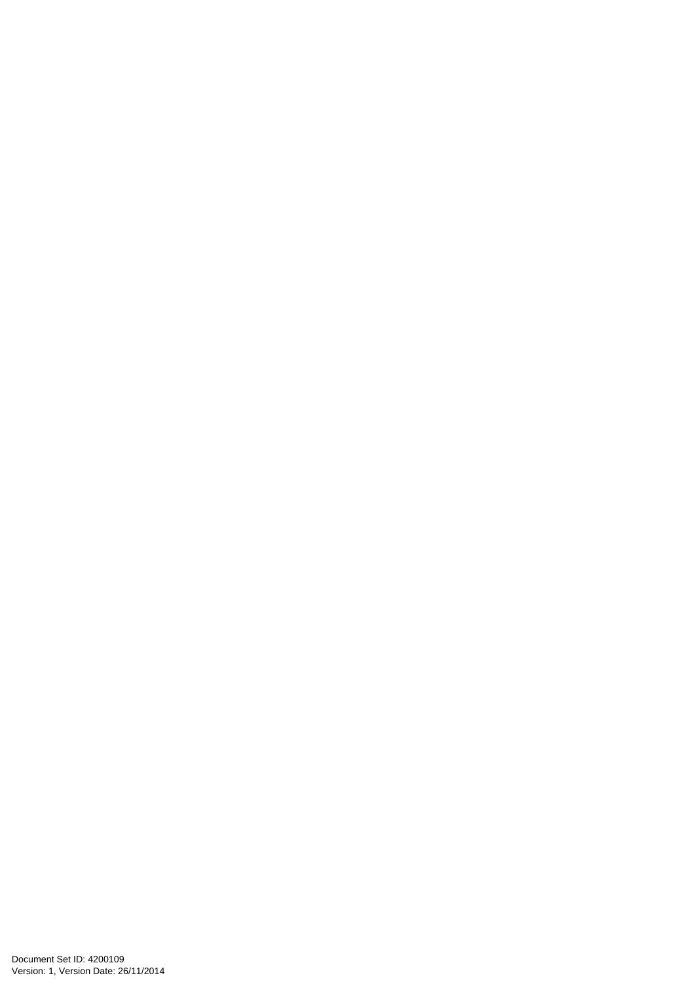Document Set ID: 4200109<br>Version: 1, Version Date: 26/11/2014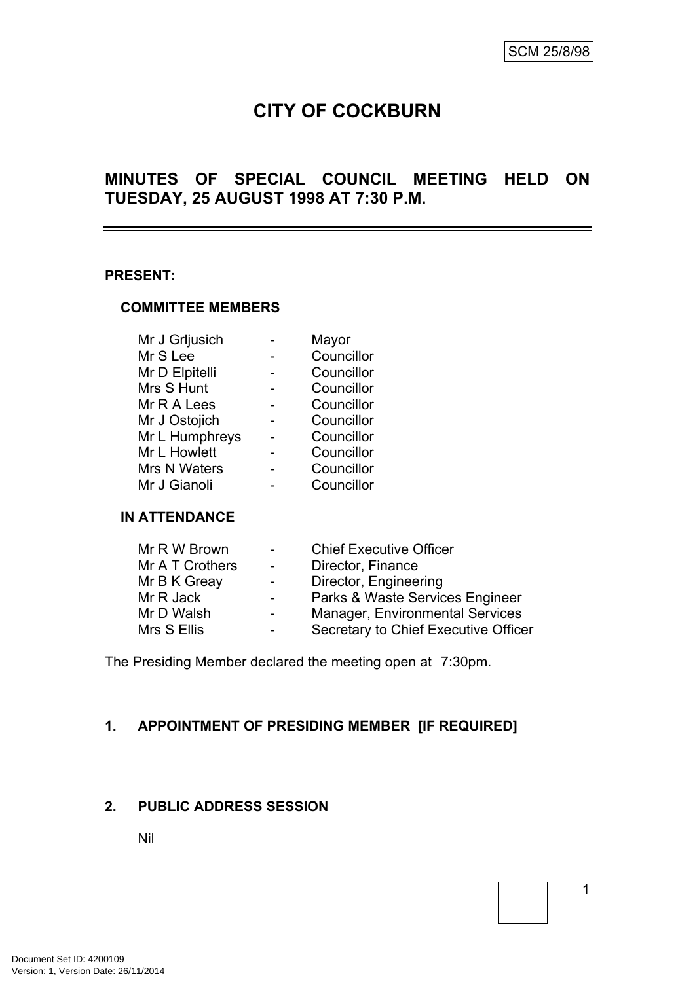# **CITY OF COCKBURN**

## **MINUTES OF SPECIAL COUNCIL MEETING HELD ON TUESDAY, 25 AUGUST 1998 AT 7:30 P.M.**

#### **PRESENT:**

#### **COMMITTEE MEMBERS**

| Mr J Grljusich | Mayor      |
|----------------|------------|
| Mr S Lee       | Councillor |
| Mr D Elpitelli | Councillor |
| Mrs S Hunt     | Councillor |
| Mr R A Lees    | Councillor |
| Mr J Ostojich  | Councillor |
| Mr L Humphreys | Councillor |
| Mr L Howlett   | Councillor |
| Mrs N Waters   | Councillor |
| Mr J Gianoli   | Councillor |
|                |            |

### **IN ATTENDANCE**

| Mr R W Brown    | $\sim$ | <b>Chief Executive Officer</b>       |
|-----------------|--------|--------------------------------------|
| Mr A T Crothers | $\sim$ | Director, Finance                    |
| Mr B K Greay    | $\sim$ | Director, Engineering                |
| Mr R Jack       |        | Parks & Waste Services Engineer      |
| Mr D Walsh      | $\sim$ | Manager, Environmental Services      |
| Mrs S Ellis     | $-$    | Secretary to Chief Executive Officer |
|                 |        |                                      |

The Presiding Member declared the meeting open at 7:30pm.

## <span id="page-2-0"></span>**1. APPOINTMENT OF PRESIDING MEMBER [IF REQUIRED]**

## <span id="page-2-1"></span>**2. PUBLIC ADDRESS SESSION**

Nil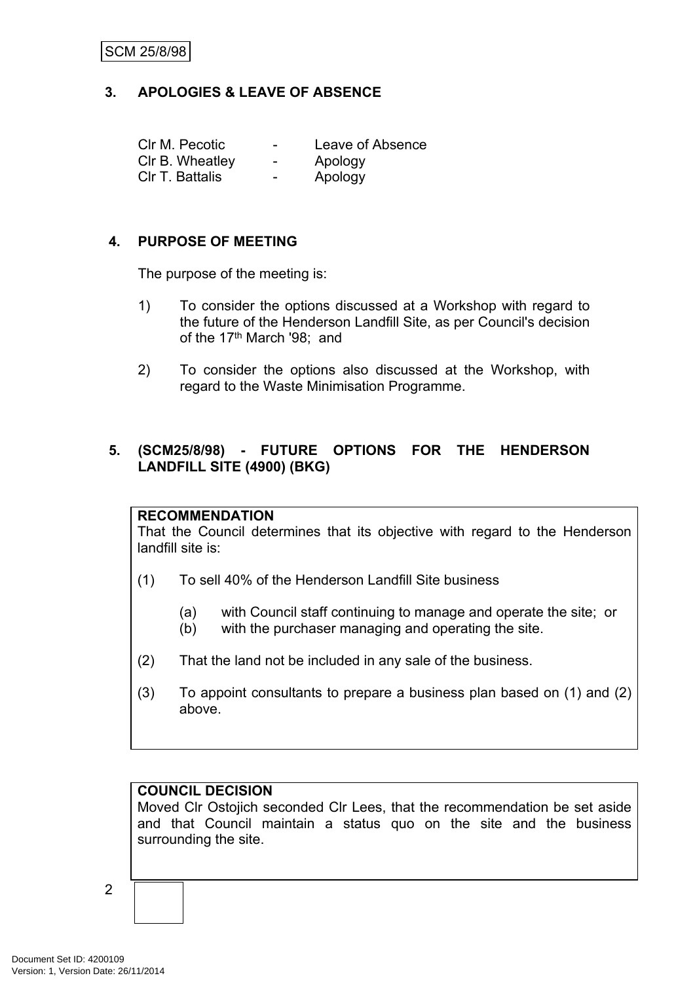## SCM 25/8/98

## <span id="page-3-0"></span>**3. APOLOGIES & LEAVE OF ABSENCE**

Clr M. Pecotic - Leave of Absence Clr B. Wheatley - Apology Clr T. Battalis - Apology

### <span id="page-3-1"></span>**4. PURPOSE OF MEETING**

The purpose of the meeting is:

- 1) To consider the options discussed at a Workshop with regard to the future of the Henderson Landfill Site, as per Council's decision of the 17<sup>th</sup> March '98; and
- 2) To consider the options also discussed at the Workshop, with regard to the Waste Minimisation Programme.

### <span id="page-3-2"></span>**5. (SCM25/8/98) - FUTURE OPTIONS FOR THE HENDERSON LANDFILL SITE (4900) (BKG)**

#### **RECOMMENDATION**

That the Council determines that its objective with regard to the Henderson landfill site is:

- (1) To sell 40% of the Henderson Landfill Site business
	- (a) with Council staff continuing to manage and operate the site; or
	- (b) with the purchaser managing and operating the site.
- (2) That the land not be included in any sale of the business.
- (3) To appoint consultants to prepare a business plan based on (1) and (2) above.

## **COUNCIL DECISION**

Moved Clr Ostojich seconded Clr Lees, that the recommendation be set aside and that Council maintain a status quo on the site and the business surrounding the site.

2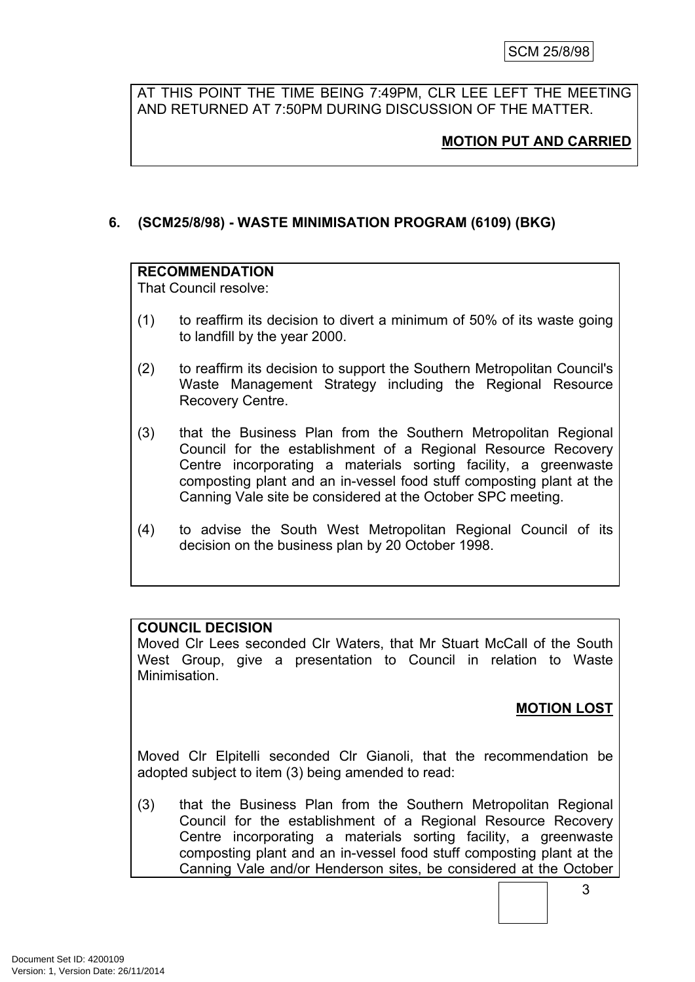## AT THIS POINT THE TIME BEING 7:49PM, CLR LEE LEFT THE MEETING AND RETURNED AT 7:50PM DURING DISCUSSION OF THE MATTER.

## **MOTION PUT AND CARRIED**

## <span id="page-4-0"></span>**6. (SCM25/8/98) - WASTE MINIMISATION PROGRAM (6109) (BKG)**

## **RECOMMENDATION**

That Council resolve:

- (1) to reaffirm its decision to divert a minimum of 50% of its waste going to landfill by the year 2000.
- (2) to reaffirm its decision to support the Southern Metropolitan Council's Waste Management Strategy including the Regional Resource Recovery Centre.
- (3) that the Business Plan from the Southern Metropolitan Regional Council for the establishment of a Regional Resource Recovery Centre incorporating a materials sorting facility, a greenwaste composting plant and an in-vessel food stuff composting plant at the Canning Vale site be considered at the October SPC meeting.
- (4) to advise the South West Metropolitan Regional Council of its decision on the business plan by 20 October 1998.

## **COUNCIL DECISION**

Moved Clr Lees seconded Clr Waters, that Mr Stuart McCall of the South West Group, give a presentation to Council in relation to Waste Minimisation.

## **MOTION LOST**

Moved Clr Elpitelli seconded Clr Gianoli, that the recommendation be adopted subject to item (3) being amended to read:

(3) that the Business Plan from the Southern Metropolitan Regional Council for the establishment of a Regional Resource Recovery Centre incorporating a materials sorting facility, a greenwaste composting plant and an in-vessel food stuff composting plant at the Canning Vale and/or Henderson sites, be considered at the October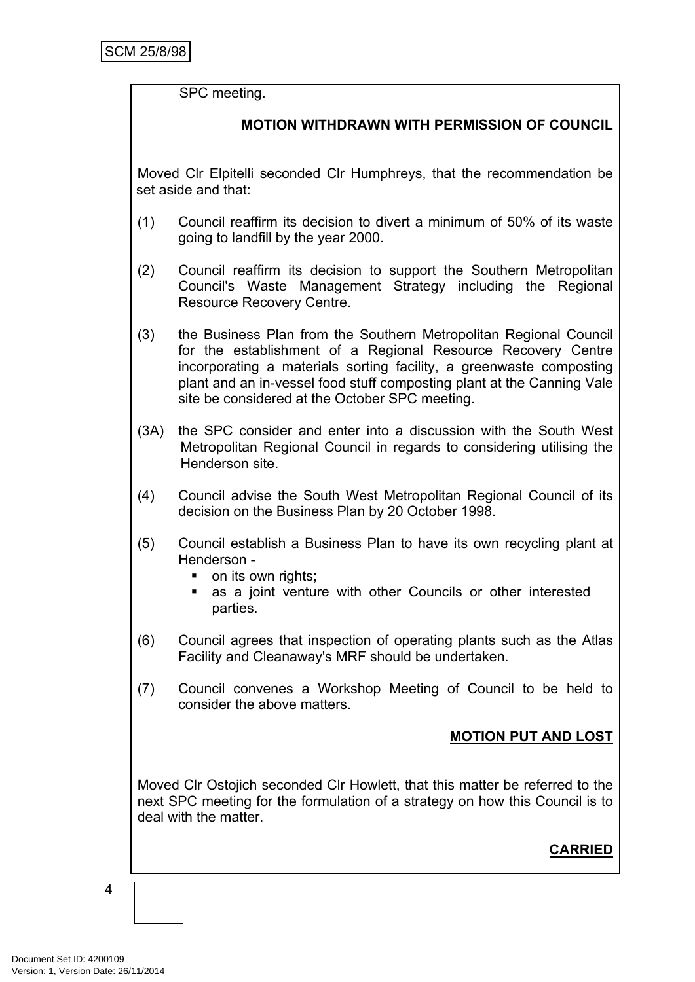## SPC meeting.

## **MOTION WITHDRAWN WITH PERMISSION OF COUNCIL**

Moved Clr Elpitelli seconded Clr Humphreys, that the recommendation be set aside and that:

- (1) Council reaffirm its decision to divert a minimum of 50% of its waste going to landfill by the year 2000.
- (2) Council reaffirm its decision to support the Southern Metropolitan Council's Waste Management Strategy including the Regional Resource Recovery Centre.
- (3) the Business Plan from the Southern Metropolitan Regional Council for the establishment of a Regional Resource Recovery Centre incorporating a materials sorting facility, a greenwaste composting plant and an in-vessel food stuff composting plant at the Canning Vale site be considered at the October SPC meeting.
- (3A) the SPC consider and enter into a discussion with the South West Metropolitan Regional Council in regards to considering utilising the Henderson site.
- (4) Council advise the South West Metropolitan Regional Council of its decision on the Business Plan by 20 October 1998.
- (5) Council establish a Business Plan to have its own recycling plant at Henderson -
	- on its own rights;
	- as a joint venture with other Councils or other interested parties.
- (6) Council agrees that inspection of operating plants such as the Atlas Facility and Cleanaway's MRF should be undertaken.
- (7) Council convenes a Workshop Meeting of Council to be held to consider the above matters.

## **MOTION PUT AND LOST**

Moved Clr Ostojich seconded Clr Howlett, that this matter be referred to the next SPC meeting for the formulation of a strategy on how this Council is to deal with the matter.

## **CARRIED**

4